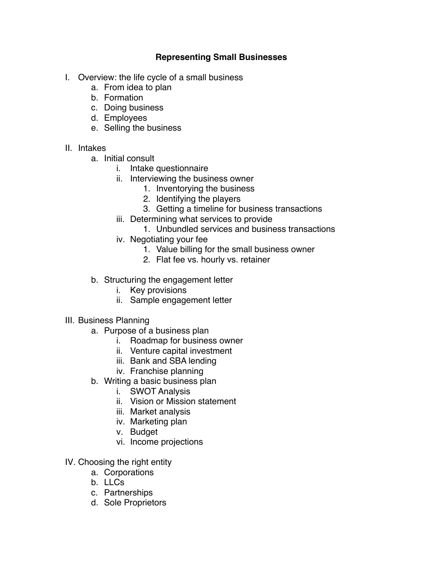## **Representing Small Businesses**

- I. Overview: the life cycle of a small business
	- a. From idea to plan
	- b. Formation
	- c. Doing business
	- d. Employees
	- e. Selling the business

## II. Intakes

- a. Initial consult
	- i. Intake questionnaire
	- ii. Interviewing the business owner
		- 1. Inventorying the business
		- 2. Identifying the players
		- 3. Getting a timeline for business transactions
	- iii. Determining what services to provide
		- 1. Unbundled services and business transactions
	- iv. Negotiating your fee
		- 1. Value billing for the small business owner
		- 2. Flat fee vs. hourly vs. retainer
- b. Structuring the engagement letter
	- i. Key provisions
	- ii. Sample engagement letter
- III. Business Planning
	- a. Purpose of a business plan
		- i. Roadmap for business owner
		- ii. Venture capital investment
		- iii. Bank and SBA lending
		- iv. Franchise planning
	- b. Writing a basic business plan
		- i. SWOT Analysis
		- ii. Vision or Mission statement
		- iii. Market analysis
		- iv. Marketing plan
		- v. Budget
		- vi. Income projections
- IV. Choosing the right entity
	- a. Corporations
	- b. LLCs
	- c. Partnerships
	- d. Sole Proprietors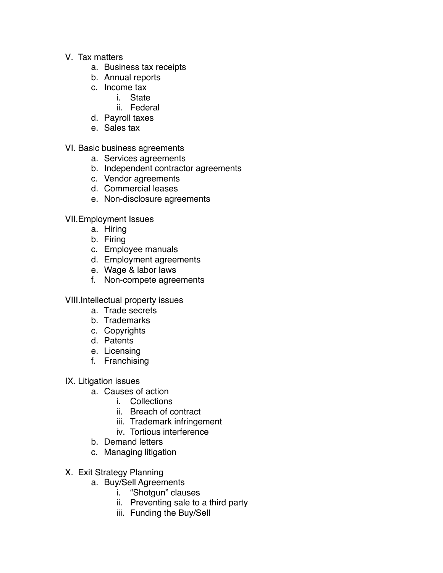- V. Tax matters
	- a. Business tax receipts
	- b. Annual reports
	- c. Income tax
		- i. State
		- ii. Federal
	- d. Payroll taxes
	- e. Sales tax

VI. Basic business agreements

- a. Services agreements
- b. Independent contractor agreements
- c. Vendor agreements
- d. Commercial leases
- e. Non-disclosure agreements

VII.Employment Issues

- a. Hiring
- b. Firing
- c. Employee manuals
- d. Employment agreements
- e. Wage & labor laws
- f. Non-compete agreements

VIII.Intellectual property issues

- a. Trade secrets
- b. Trademarks
- c. Copyrights
- d. Patents
- e. Licensing
- f. Franchising
- IX. Litigation issues
	- a. Causes of action
		- i. Collections
		- ii. Breach of contract
		- iii. Trademark infringement
		- iv. Tortious interference
	- b. Demand letters
	- c. Managing litigation
- X. Exit Strategy Planning
	- a. Buy/Sell Agreements
		- i. "Shotgun" clauses
		- ii. Preventing sale to a third party
		- iii. Funding the Buy/Sell